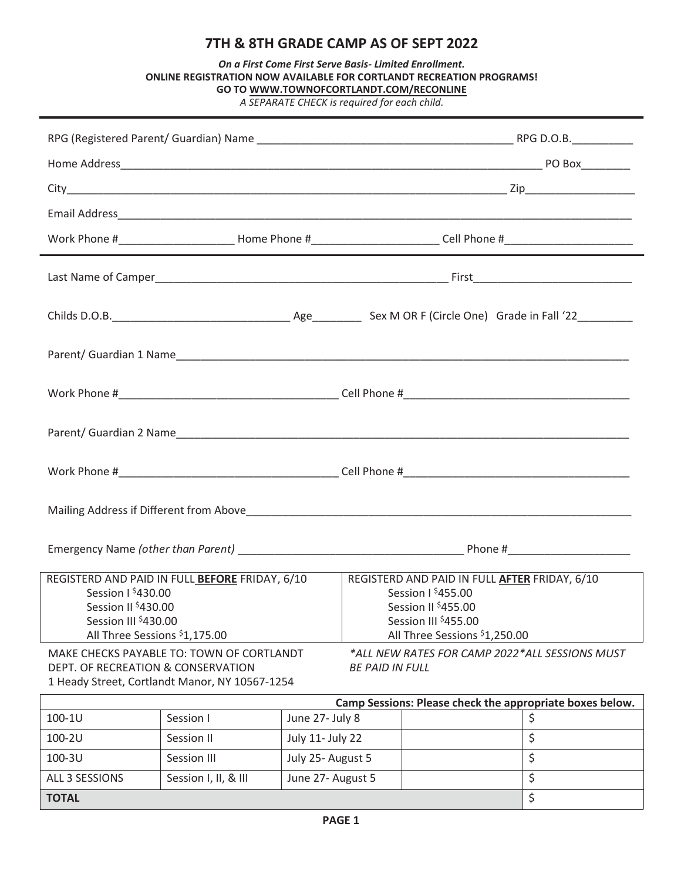## **7TH & 8TH GRADE CAMP AS OF SEPT 2022**

| On a First Come First Serve Basis- Limited Enrollment.               |  |
|----------------------------------------------------------------------|--|
| ONLINE REGISTRATION NOW AVAILABLE FOR CORTLANDT RECREATION PROGRAMS! |  |
| <b>GO TO WWW.TOWNOFCORTLANDT.COM/RECONLINE</b>                       |  |

*A SEPARATE CHECK is required for each child.*

|                                                                                                                                                                                                               |                                        | Work Phone #______________________________Home Phone #__________________________Cell Phone #________________________                                            |  |  |  |  |
|---------------------------------------------------------------------------------------------------------------------------------------------------------------------------------------------------------------|----------------------------------------|-----------------------------------------------------------------------------------------------------------------------------------------------------------------|--|--|--|--|
|                                                                                                                                                                                                               |                                        |                                                                                                                                                                 |  |  |  |  |
|                                                                                                                                                                                                               |                                        |                                                                                                                                                                 |  |  |  |  |
|                                                                                                                                                                                                               |                                        |                                                                                                                                                                 |  |  |  |  |
|                                                                                                                                                                                                               |                                        |                                                                                                                                                                 |  |  |  |  |
|                                                                                                                                                                                                               |                                        |                                                                                                                                                                 |  |  |  |  |
|                                                                                                                                                                                                               |                                        |                                                                                                                                                                 |  |  |  |  |
|                                                                                                                                                                                                               |                                        |                                                                                                                                                                 |  |  |  |  |
|                                                                                                                                                                                                               |                                        |                                                                                                                                                                 |  |  |  |  |
| REGISTERD AND PAID IN FULL BEFORE FRIDAY, 6/10<br>Session 1 \$430.00<br>Session II \$430.00<br>Session III \$430.00<br>All Three Sessions \$1,175.00                                                          |                                        | REGISTERD AND PAID IN FULL AFTER FRIDAY, 6/10<br>Session 1 \$455.00<br>Session II <sup>\$</sup> 455.00<br>Session III \$455.00<br>All Three Sessions \$1,250.00 |  |  |  |  |
| MAKE CHECKS PAYABLE TO: TOWN OF CORTLANDT<br>*ALL NEW RATES FOR CAMP 2022*ALL SESSIONS MUST<br>DEPT. OF RECREATION & CONSERVATION<br><b>BE PAID IN FULL</b><br>1 Heady Street, Cortlandt Manor, NY 10567-1254 |                                        |                                                                                                                                                                 |  |  |  |  |
|                                                                                                                                                                                                               |                                        | Camp Sessions: Please check the appropriate boxes below.                                                                                                        |  |  |  |  |
| 100-1U<br>Session I                                                                                                                                                                                           | June 27- July 8                        | \$                                                                                                                                                              |  |  |  |  |
| 100-2U<br>Session II                                                                                                                                                                                          | July 11- July 22                       | \$                                                                                                                                                              |  |  |  |  |
| 100-3U<br>Session III<br>ALL 3 SESSIONS<br>Session I, II, & III                                                                                                                                               | July 25- August 5<br>June 27- August 5 | \$<br>\$                                                                                                                                                        |  |  |  |  |
| <b>TOTAL</b>                                                                                                                                                                                                  |                                        | \$                                                                                                                                                              |  |  |  |  |